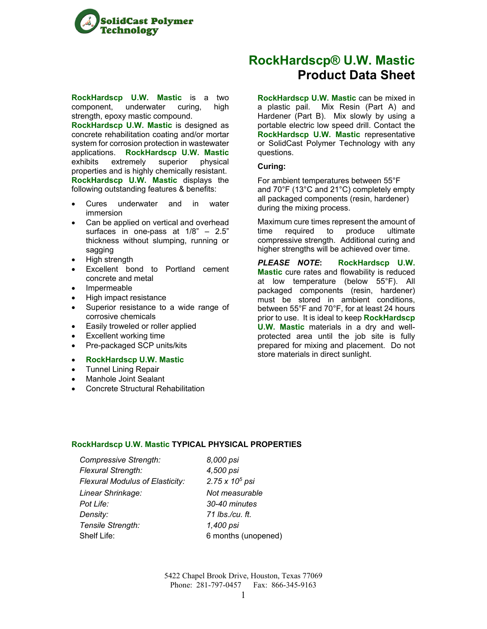

**RockHardscp U.W. Mastic** is a two component, underwater curing, high strength, epoxy mastic compound.

**RockHardscp U.W. Mastic** is designed as concrete rehabilitation coating and/or mortar system for corrosion protection in wastewater applications. **RockHardscp U.W. Mastic**  exhibits extremely superior physical properties and is highly chemically resistant. **RockHardscp U.W. Mastic** displays the following outstanding features & benefits:

- Cures underwater and in water immersion
- Can be applied on vertical and overhead surfaces in one-pass at 1/8" – 2.5" thickness without slumping, running or sagging
- High strength
- Excellent bond to Portland cement concrete and metal
- Impermeable
- High impact resistance
- Superior resistance to a wide range of corrosive chemicals
- Easily troweled or roller applied
- Excellent working time
- Pre-packaged SCP units/kits
- **RockHardscp U.W. Mastic**
- Tunnel Lining Repair
- Manhole Joint Sealant
- Concrete Structural Rehabilitation

## **RockHardscp® U.W. Mastic Product Data Sheet**

**RockHardscp U.W. Mastic** can be mixed in a plastic pail. Mix Resin (Part A) and Hardener (Part B). Mix slowly by using a portable electric low speed drill. Contact the **RockHardscp U.W. Mastic** representative or SolidCast Polymer Technology with any questions.

## **Curing:**

For ambient temperatures between 55°F and 70°F (13°C and 21°C) completely empty all packaged components (resin, hardener) during the mixing process.

Maximum cure times represent the amount of time required to produce ultimate compressive strength. Additional curing and higher strengths will be achieved over time.

*PLEASE NOTE***: RockHardscp U.W. Mastic** cure rates and flowability is reduced at low temperature (below 55°F). All packaged components (resin, hardener) must be stored in ambient conditions, between 55°F and 70°F, for at least 24 hours prior to use. It is ideal to keep **RockHardscp U.W. Mastic** materials in a dry and wellprotected area until the job site is fully prepared for mixing and placement. Do not store materials in direct sunlight.

## **RockHardscp U.W. Mastic TYPICAL PHYSICAL PROPERTIES**

*Compressive Strength: 8,000 psi Flexural Strength: 4,500 psi Flexural Modulus of Elasticity: 2.75 x 105 psi Linear Shrinkage: Not measurable Pot Life: 30-40 minutes Density: 71 lbs./cu. ft. Tensile Strength: 1,400 psi* Shelf Life: 6 months (unopened)

5422 Chapel Brook Drive, Houston, Texas 77069 Phone: 281-797-0457 Fax: 866-345-9163